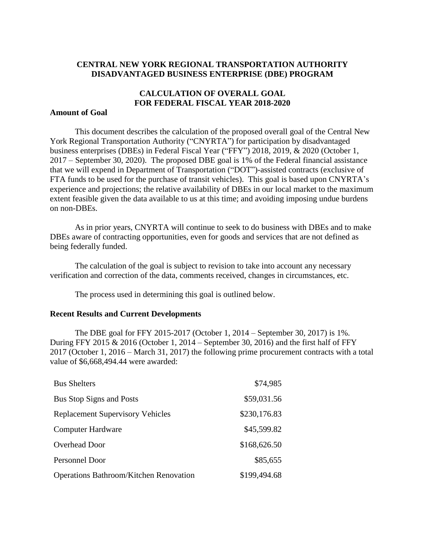# **CENTRAL NEW YORK REGIONAL TRANSPORTATION AUTHORITY DISADVANTAGED BUSINESS ENTERPRISE (DBE) PROGRAM**

# **CALCULATION OF OVERALL GOAL FOR FEDERAL FISCAL YEAR 2018-2020**

#### **Amount of Goal**

This document describes the calculation of the proposed overall goal of the Central New York Regional Transportation Authority ("CNYRTA") for participation by disadvantaged business enterprises (DBEs) in Federal Fiscal Year ("FFY") 2018, 2019, & 2020 (October 1, 2017 – September 30, 2020). The proposed DBE goal is 1% of the Federal financial assistance that we will expend in Department of Transportation ("DOT")-assisted contracts (exclusive of FTA funds to be used for the purchase of transit vehicles). This goal is based upon CNYRTA's experience and projections; the relative availability of DBEs in our local market to the maximum extent feasible given the data available to us at this time; and avoiding imposing undue burdens on non-DBEs.

As in prior years, CNYRTA will continue to seek to do business with DBEs and to make DBEs aware of contracting opportunities, even for goods and services that are not defined as being federally funded.

The calculation of the goal is subject to revision to take into account any necessary verification and correction of the data, comments received, changes in circumstances, etc.

The process used in determining this goal is outlined below.

#### **Recent Results and Current Developments**

The DBE goal for FFY 2015-2017 (October 1, 2014 – September 30, 2017) is 1%. During FFY 2015 & 2016 (October 1, 2014 – September 30, 2016) and the first half of FFY 2017 (October 1, 2016 – March 31, 2017) the following prime procurement contracts with a total value of \$6,668,494.44 were awarded:

| <b>Bus Shelters</b>                           | \$74,985     |
|-----------------------------------------------|--------------|
| Bus Stop Signs and Posts                      | \$59,031.56  |
| <b>Replacement Supervisory Vehicles</b>       | \$230,176.83 |
| <b>Computer Hardware</b>                      | \$45,599.82  |
| Overhead Door                                 | \$168,626.50 |
| Personnel Door                                | \$85,655     |
| <b>Operations Bathroom/Kitchen Renovation</b> | \$199,494.68 |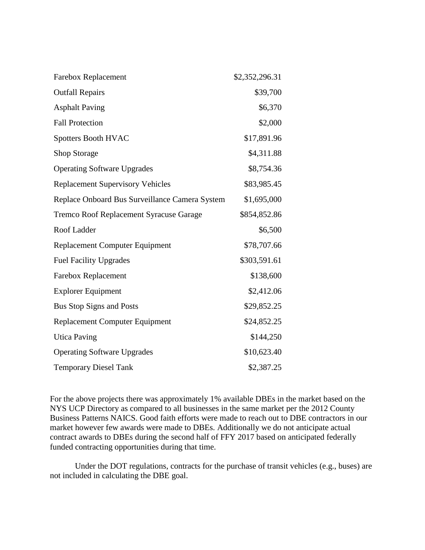| Farebox Replacement                            | \$2,352,296.31 |
|------------------------------------------------|----------------|
| <b>Outfall Repairs</b>                         | \$39,700       |
| <b>Asphalt Paving</b>                          | \$6,370        |
| <b>Fall Protection</b>                         | \$2,000        |
| <b>Spotters Booth HVAC</b>                     | \$17,891.96    |
| <b>Shop Storage</b>                            | \$4,311.88     |
| <b>Operating Software Upgrades</b>             | \$8,754.36     |
| <b>Replacement Supervisory Vehicles</b>        | \$83,985.45    |
| Replace Onboard Bus Surveillance Camera System | \$1,695,000    |
| Tremco Roof Replacement Syracuse Garage        | \$854,852.86   |
| Roof Ladder                                    | \$6,500        |
| <b>Replacement Computer Equipment</b>          | \$78,707.66    |
| <b>Fuel Facility Upgrades</b>                  | \$303,591.61   |
| Farebox Replacement                            | \$138,600      |
| <b>Explorer Equipment</b>                      | \$2,412.06     |
| <b>Bus Stop Signs and Posts</b>                | \$29,852.25    |
| <b>Replacement Computer Equipment</b>          | \$24,852.25    |
| <b>Utica Paving</b>                            | \$144,250      |
| <b>Operating Software Upgrades</b>             | \$10,623.40    |
| <b>Temporary Diesel Tank</b>                   | \$2,387.25     |

For the above projects there was approximately 1% available DBEs in the market based on the NYS UCP Directory as compared to all businesses in the same market per the 2012 County Business Patterns NAICS. Good faith efforts were made to reach out to DBE contractors in our market however few awards were made to DBEs. Additionally we do not anticipate actual contract awards to DBEs during the second half of FFY 2017 based on anticipated federally funded contracting opportunities during that time.

Under the DOT regulations, contracts for the purchase of transit vehicles (e.g., buses) are not included in calculating the DBE goal.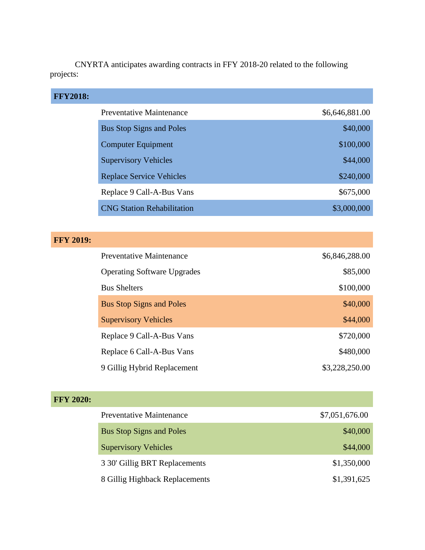CNYRTA anticipates awarding contracts in FFY 2018-20 related to the following projects:

# **FFY2018:**

| Preventative Maintenance          | \$6,646,881.00 |
|-----------------------------------|----------------|
| <b>Bus Stop Signs and Poles</b>   | \$40,000       |
| <b>Computer Equipment</b>         | \$100,000      |
| <b>Supervisory Vehicles</b>       | \$44,000       |
| <b>Replace Service Vehicles</b>   | \$240,000      |
| Replace 9 Call-A-Bus Vans         | \$675,000      |
| <b>CNG Station Rehabilitation</b> | \$3,000,000    |

# **FFY 2019:**

| Preventative Maintenance           | \$6,846,288.00 |
|------------------------------------|----------------|
| <b>Operating Software Upgrades</b> | \$85,000       |
| <b>Bus Shelters</b>                | \$100,000      |
| <b>Bus Stop Signs and Poles</b>    | \$40,000       |
| <b>Supervisory Vehicles</b>        | \$44,000       |
| Replace 9 Call-A-Bus Vans          | \$720,000      |
| Replace 6 Call-A-Bus Vans          | \$480,000      |
| 9 Gillig Hybrid Replacement        | \$3,228,250.00 |

# **FFY 2020:**

| <b>Preventative Maintenance</b> | \$7,051,676.00 |
|---------------------------------|----------------|
| <b>Bus Stop Signs and Poles</b> | \$40,000       |
| <b>Supervisory Vehicles</b>     | \$44,000       |
| 3 30' Gillig BRT Replacements   | \$1,350,000    |
| 8 Gillig Highback Replacements  | \$1,391,625    |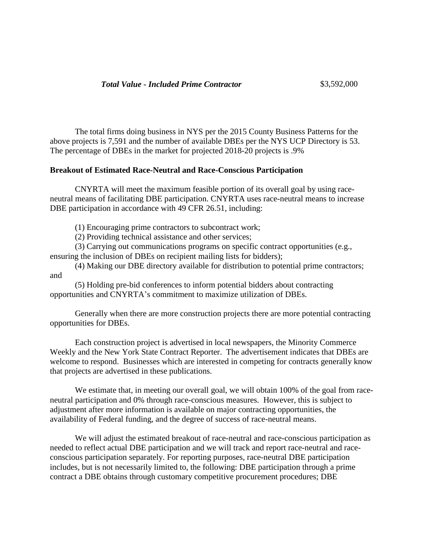The total firms doing business in NYS per the 2015 County Business Patterns for the above projects is 7,591 and the number of available DBEs per the NYS UCP Directory is 53. The percentage of DBEs in the market for projected 2018-20 projects is .9%

#### **Breakout of Estimated Race-Neutral and Race-Conscious Participation**

CNYRTA will meet the maximum feasible portion of its overall goal by using raceneutral means of facilitating DBE participation. CNYRTA uses race-neutral means to increase DBE participation in accordance with 49 CFR 26.51, including:

(1) Encouraging prime contractors to subcontract work;

(2) Providing technical assistance and other services;

(3) Carrying out communications programs on specific contract opportunities (e.g., ensuring the inclusion of DBEs on recipient mailing lists for bidders);

(4) Making our DBE directory available for distribution to potential prime contractors; and

(5) Holding pre-bid conferences to inform potential bidders about contracting opportunities and CNYRTA's commitment to maximize utilization of DBEs.

Generally when there are more construction projects there are more potential contracting opportunities for DBEs.

Each construction project is advertised in local newspapers, the Minority Commerce Weekly and the New York State Contract Reporter. The advertisement indicates that DBEs are welcome to respond. Businesses which are interested in competing for contracts generally know that projects are advertised in these publications.

We estimate that, in meeting our overall goal, we will obtain 100% of the goal from raceneutral participation and 0% through race-conscious measures. However, this is subject to adjustment after more information is available on major contracting opportunities, the availability of Federal funding, and the degree of success of race-neutral means.

We will adjust the estimated breakout of race-neutral and race-conscious participation as needed to reflect actual DBE participation and we will track and report race-neutral and raceconscious participation separately. For reporting purposes, race-neutral DBE participation includes, but is not necessarily limited to, the following: DBE participation through a prime contract a DBE obtains through customary competitive procurement procedures; DBE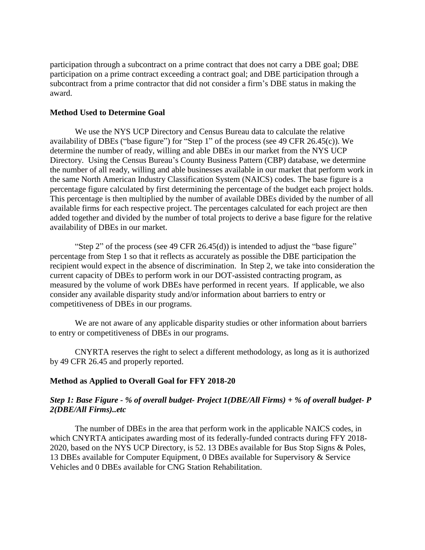participation through a subcontract on a prime contract that does not carry a DBE goal; DBE participation on a prime contract exceeding a contract goal; and DBE participation through a subcontract from a prime contractor that did not consider a firm's DBE status in making the award.

#### **Method Used to Determine Goal**

We use the NYS UCP Directory and Census Bureau data to calculate the relative availability of DBEs ("base figure") for "Step 1" of the process (see 49 CFR 26.45(c)). We determine the number of ready, willing and able DBEs in our market from the NYS UCP Directory. Using the Census Bureau's County Business Pattern (CBP) database, we determine the number of all ready, willing and able businesses available in our market that perform work in the same North American Industry Classification System (NAICS) codes. The base figure is a percentage figure calculated by first determining the percentage of the budget each project holds. This percentage is then multiplied by the number of available DBEs divided by the number of all available firms for each respective project. The percentages calculated for each project are then added together and divided by the number of total projects to derive a base figure for the relative availability of DBEs in our market.

"Step 2" of the process (see 49 CFR 26.45(d)) is intended to adjust the "base figure" percentage from Step 1 so that it reflects as accurately as possible the DBE participation the recipient would expect in the absence of discrimination. In Step 2, we take into consideration the current capacity of DBEs to perform work in our DOT-assisted contracting program, as measured by the volume of work DBEs have performed in recent years. If applicable, we also consider any available disparity study and/or information about barriers to entry or competitiveness of DBEs in our programs.

We are not aware of any applicable disparity studies or other information about barriers to entry or competitiveness of DBEs in our programs.

CNYRTA reserves the right to select a different methodology, as long as it is authorized by 49 CFR 26.45 and properly reported.

## **Method as Applied to Overall Goal for FFY 2018-20**

# *Step 1: Base Figure - % of overall budget- Project 1(DBE/All Firms) + % of overall budget- P 2(DBE/All Firms)..etc*

The number of DBEs in the area that perform work in the applicable NAICS codes, in which CNYRTA anticipates awarding most of its federally-funded contracts during FFY 2018- 2020, based on the NYS UCP Directory, is 52. 13 DBEs available for Bus Stop Signs & Poles, 13 DBEs available for Computer Equipment, 0 DBEs available for Supervisory & Service Vehicles and 0 DBEs available for CNG Station Rehabilitation.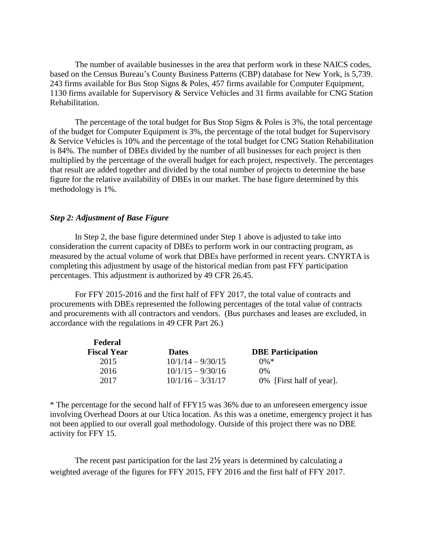The number of available businesses in the area that perform work in these NAICS codes, based on the Census Bureau's County Business Patterns (CBP) database for New York, is 5,739. 243 firms available for Bus Stop Signs & Poles, 457 firms available for Computer Equipment, 1130 firms available for Supervisory & Service Vehicles and 31 firms available for CNG Station Rehabilitation.

The percentage of the total budget for Bus Stop Signs & Poles is 3%, the total percentage of the budget for Computer Equipment is 3%, the percentage of the total budget for Supervisory & Service Vehicles is 10% and the percentage of the total budget for CNG Station Rehabilitation is 84%. The number of DBEs divided by the number of all businesses for each project is then multiplied by the percentage of the overall budget for each project, respectively. The percentages that result are added together and divided by the total number of projects to determine the base figure for the relative availability of DBEs in our market. The base figure determined by this methodology is 1%.

#### *Step 2: Adjustment of Base Figure*

In Step 2, the base figure determined under Step 1 above is adjusted to take into consideration the current capacity of DBEs to perform work in our contracting program, as measured by the actual volume of work that DBEs have performed in recent years. CNYRTA is completing this adjustment by usage of the historical median from past FFY participation percentages. This adjustment is authorized by 49 CFR 26.45.

For FFY 2015-2016 and the first half of FFY 2017, the total value of contracts and procurements with DBEs represented the following percentages of the total value of contracts and procurements with all contractors and vendors. (Bus purchases and leases are excluded, in accordance with the regulations in 49 CFR Part 26.)

| Federal            |                     |                          |
|--------------------|---------------------|--------------------------|
| <b>Fiscal Year</b> | <b>Dates</b>        | <b>DBE</b> Participation |
| 2015               | $10/1/14 - 9/30/15$ | በ%*                      |
| 2016               | $10/1/15 - 9/30/16$ | 0%                       |
| 2017               | $10/1/16 - 3/31/17$ | 0% [First half of year]. |

\* The percentage for the second half of FFY15 was 36% due to an unforeseen emergency issue involving Overhead Doors at our Utica location. As this was a onetime, emergency project it has not been applied to our overall goal methodology. Outside of this project there was no DBE activity for FFY 15.

The recent past participation for the last 2½ years is determined by calculating a weighted average of the figures for FFY 2015, FFY 2016 and the first half of FFY 2017.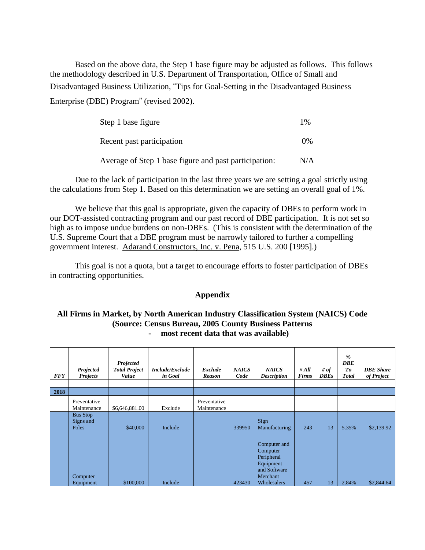Based on the above data, the Step 1 base figure may be adjusted as follows. This follows the methodology described in U.S. Department of Transportation, Office of Small and Disadvantaged Business Utilization, "Tips for Goal-Setting in the Disadvantaged Business Enterprise (DBE) Program" (revised 2002).

| Step 1 base figure                                    | $1\%$ |
|-------------------------------------------------------|-------|
| Recent past participation                             | $0\%$ |
| Average of Step 1 base figure and past participation: | N/A   |

Due to the lack of participation in the last three years we are setting a goal strictly using the calculations from Step 1. Based on this determination we are setting an overall goal of 1%.

We believe that this goal is appropriate, given the capacity of DBEs to perform work in our DOT-assisted contracting program and our past record of DBE participation. It is not set so high as to impose undue burdens on non-DBEs. (This is consistent with the determination of the U.S. Supreme Court that a DBE program must be narrowly tailored to further a compelling government interest. Adarand Constructors, Inc. v. Pena, 515 U.S. 200 [1995].)

This goal is not a quota, but a target to encourage efforts to foster participation of DBEs in contracting opportunities.

## **Appendix**

## **All Firms in Market, by North American Industry Classification System (NAICS) Code (Source: Census Bureau, 2005 County Business Patterns - most recent data that was available)**

| <b>FFY</b> | Projected<br><b>Projects</b>          | Projected<br><b>Total Project</b><br>Value | Include/Exclude<br>in Goal | Exclude<br><b>Reason</b>    | <b>NAICS</b><br>Code | <b>NAICS</b><br><b>Description</b>                                                             | # $All$<br><b>Firms</b> | # $of$<br><b>DBEs</b> | %<br><b>DBE</b><br>To<br><b>Total</b> | <b>DBE</b> Share<br>of Project |
|------------|---------------------------------------|--------------------------------------------|----------------------------|-----------------------------|----------------------|------------------------------------------------------------------------------------------------|-------------------------|-----------------------|---------------------------------------|--------------------------------|
| 2018       |                                       |                                            |                            |                             |                      |                                                                                                |                         |                       |                                       |                                |
|            | Preventative<br>Maintenance           | \$6,646,881.00                             | Exclude                    | Preventative<br>Maintenance |                      |                                                                                                |                         |                       |                                       |                                |
|            | <b>Bus Stop</b><br>Signs and<br>Poles | \$40,000                                   | Include                    |                             | 339950               | Sign<br>Manufacturing                                                                          | 243                     | 13                    | 5.35%                                 | \$2,139.92                     |
|            | Computer<br>Equipment                 | \$100,000                                  | Include                    |                             | 423430               | Computer and<br>Computer<br>Peripheral<br>Equipment<br>and Software<br>Merchant<br>Wholesalers | 457                     | 13                    | 2.84%                                 | \$2,844.64                     |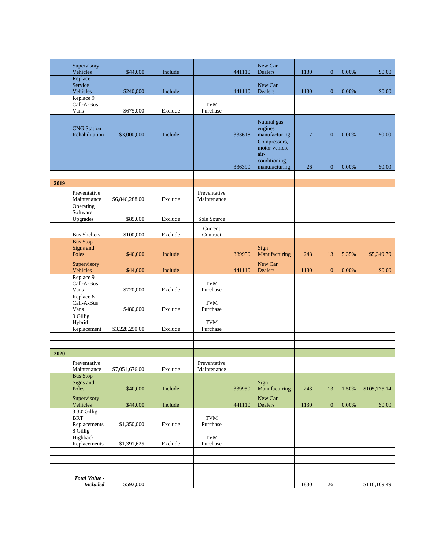|      | Supervisory                                |                |         |                             |        | New Car                                                                 |                |                |       |              |
|------|--------------------------------------------|----------------|---------|-----------------------------|--------|-------------------------------------------------------------------------|----------------|----------------|-------|--------------|
|      | Vehicles<br>Replace                        | \$44,000       | Include |                             | 441110 | Dealers                                                                 | 1130           | $\mathbf{0}$   | 0.00% | \$0.00       |
|      | Service<br>Vehicles                        | \$240,000      | Include |                             | 441110 | New Car<br>Dealers                                                      | 1130           | $\mathbf{0}$   | 0.00% | \$0.00       |
|      | Replace 9<br>Call-A-Bus<br>Vans            | \$675,000      | Exclude | <b>TVM</b><br>Purchase      |        |                                                                         |                |                |       |              |
|      | <b>CNG</b> Station<br>Rehabilitation       | \$3,000,000    | Include |                             | 333618 | Natural gas<br>engines<br>manufacturing                                 | $\overline{7}$ | $\overline{0}$ | 0.00% | \$0.00       |
|      |                                            |                |         |                             | 336390 | Compressors,<br>motor vehicle<br>air-<br>conditioning,<br>manufacturing | 26             | $\mathbf{0}$   | 0.00% | \$0.00       |
|      |                                            |                |         |                             |        |                                                                         |                |                |       |              |
| 2019 |                                            |                |         |                             |        |                                                                         |                |                |       |              |
|      | Preventative<br>Maintenance                | \$6,846,288.00 | Exclude | Preventative<br>Maintenance |        |                                                                         |                |                |       |              |
|      | Operating<br>Software<br>Upgrades          | \$85,000       | Exclude | Sole Source                 |        |                                                                         |                |                |       |              |
|      | <b>Bus Shelters</b>                        | \$100,000      | Exclude | Current<br>Contract         |        |                                                                         |                |                |       |              |
|      | <b>Bus Stop</b><br>Signs and<br>Poles      | \$40,000       | Include |                             | 339950 | Sign<br>Manufacturing                                                   | 243            | 13             | 5.35% | \$5,349.79   |
|      | Supervisory<br>Vehicles                    | \$44,000       | Include |                             | 441110 | New Car<br><b>Dealers</b>                                               | 1130           | $\mathbf{0}$   | 0.00% | \$0.00       |
|      | Replace 9<br>Call-A-Bus<br>Vans            | \$720,000      | Exclude | TVM<br>Purchase             |        |                                                                         |                |                |       |              |
|      | Replace 6<br>Call-A-Bus<br>Vans            | \$480,000      | Exclude | <b>TVM</b><br>Purchase      |        |                                                                         |                |                |       |              |
|      | 9 Gillig<br>Hybrid<br>Replacement          | \$3,228,250.00 | Exclude | <b>TVM</b><br>Purchase      |        |                                                                         |                |                |       |              |
|      |                                            |                |         |                             |        |                                                                         |                |                |       |              |
| 2020 |                                            |                |         |                             |        |                                                                         |                |                |       |              |
|      | Preventative<br>Maintenance                | \$7,051,676.00 | Exclude | Preventative<br>Maintenance |        |                                                                         |                |                |       |              |
|      | <b>Bus Stop</b><br>Signs and<br>Poles      | \$40,000       | Include |                             | 339950 | Sign<br>Manufacturing                                                   | 243            | 13             | 1.50% | \$105,775.14 |
|      | Supervisory<br>Vehicles                    | \$44,000       | Include |                             | 441110 | New Car<br>Dealers                                                      | 1130           | $\mathbf{0}$   | 0.00% | \$0.00       |
|      | 3 30' Gillig<br><b>BRT</b><br>Replacements | \$1,350,000    | Exclude | <b>TVM</b><br>Purchase      |        |                                                                         |                |                |       |              |
|      | 8 Gillig<br>Highback<br>Replacements       | \$1,391,625    | Exclude | <b>TVM</b><br>Purchase      |        |                                                                         |                |                |       |              |
|      |                                            |                |         |                             |        |                                                                         |                |                |       |              |
|      |                                            |                |         |                             |        |                                                                         |                |                |       |              |
|      | Total Value -<br><b>Included</b>           | \$592,000      |         |                             |        |                                                                         | 1830           | 26             |       | \$116,109.49 |